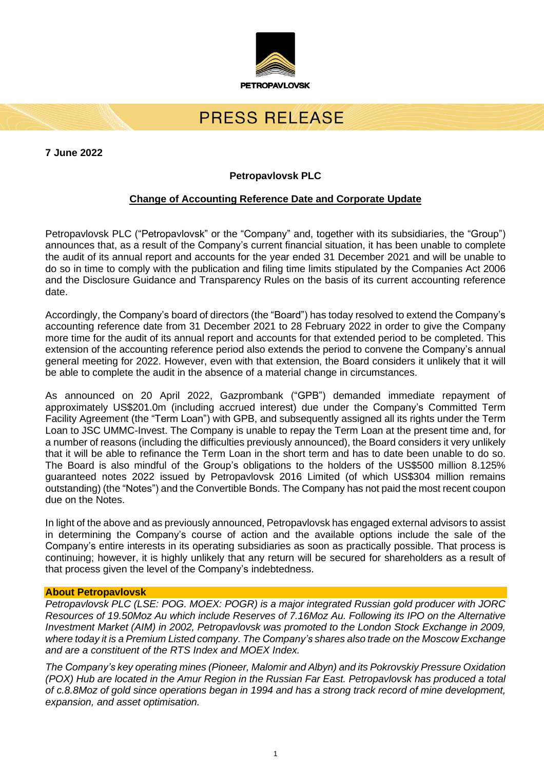

# PRESS RELEASE

**7 June 2022**

# **Petropavlovsk PLC**

## **Change of Accounting Reference Date and Corporate Update**

Petropavlovsk PLC ("Petropavlovsk" or the "Company" and, together with its subsidiaries, the "Group") announces that, as a result of the Company's current financial situation, it has been unable to complete the audit of its annual report and accounts for the year ended 31 December 2021 and will be unable to do so in time to comply with the publication and filing time limits stipulated by the Companies Act 2006 and the Disclosure Guidance and Transparency Rules on the basis of its current accounting reference date.

Accordingly, the Company's board of directors (the "Board") has today resolved to extend the Company's accounting reference date from 31 December 2021 to 28 February 2022 in order to give the Company more time for the audit of its annual report and accounts for that extended period to be completed. This extension of the accounting reference period also extends the period to convene the Company's annual general meeting for 2022. However, even with that extension, the Board considers it unlikely that it will be able to complete the audit in the absence of a material change in circumstances.

As announced on 20 April 2022, Gazprombank ("GPB") demanded immediate repayment of approximately US\$201.0m (including accrued interest) due under the Company's Committed Term Facility Agreement (the "Term Loan") with GPB, and subsequently assigned all its rights under the Term Loan to JSC UMMC-Invest. The Company is unable to repay the Term Loan at the present time and, for a number of reasons (including the difficulties previously announced), the Board considers it very unlikely that it will be able to refinance the Term Loan in the short term and has to date been unable to do so. The Board is also mindful of the Group's obligations to the holders of the US\$500 million 8.125% guaranteed notes 2022 issued by Petropavlovsk 2016 Limited (of which US\$304 million remains outstanding) (the "Notes") and the Convertible Bonds. The Company has not paid the most recent coupon due on the Notes.

In light of the above and as previously announced, Petropavlovsk has engaged external advisors to assist in determining the Company's course of action and the available options include the sale of the Company's entire interests in its operating subsidiaries as soon as practically possible. That process is continuing; however, it is highly unlikely that any return will be secured for shareholders as a result of that process given the level of the Company's indebtedness.

### **About Petropavlovsk**

*Petropavlovsk PLC (LSE: POG. MOEX: POGR) is a major integrated Russian gold producer with JORC Resources of 19.50Moz Au which include Reserves of 7.16Moz Au. Following its IPO on the Alternative Investment Market (AIM) in 2002, Petropavlovsk was promoted to the London Stock Exchange in 2009, where today it is a Premium Listed company. The Company's shares also trade on the Moscow Exchange and are a constituent of the RTS Index and MOEX Index.*

*The Company's key operating mines (Pioneer, Malomir and Albyn) and its Pokrovskiy Pressure Oxidation* (POX) Hub are located in the Amur Region in the Russian Far East. Petropavlovsk has produced a total of c.8.8Moz of gold since operations began in 1994 and has a strong track record of mine development, *expansion, and asset optimisation.*